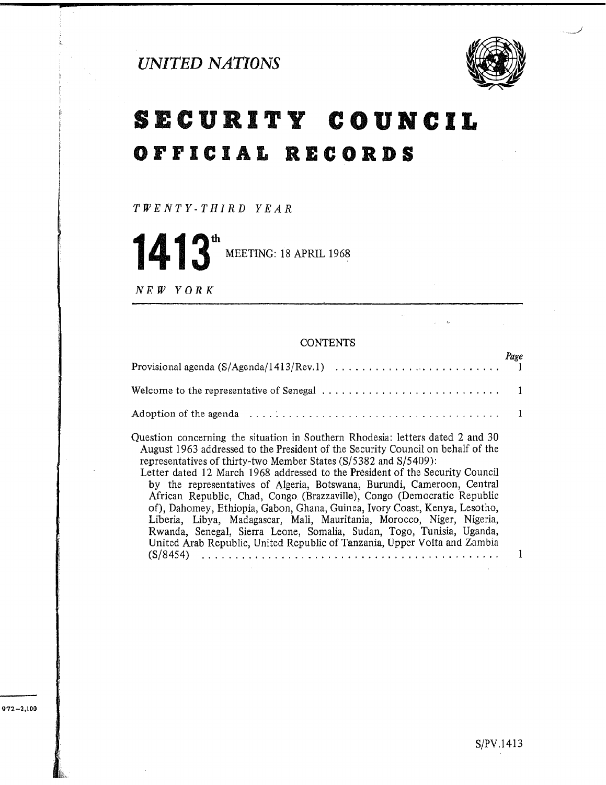

# SECURITY COUNCIL OFFICIAL RECORDS

TWENTY-THIRD YEAR

th MEETING: 18 APRIL 1968

NEW YORK

# **CONTENTS**

| Welcome to the representative of Senegal $\dots \dots \dots \dots \dots \dots \dots \dots \dots$                                                                                                                                                                                                                                                                                                                                                                             |  |
|------------------------------------------------------------------------------------------------------------------------------------------------------------------------------------------------------------------------------------------------------------------------------------------------------------------------------------------------------------------------------------------------------------------------------------------------------------------------------|--|
|                                                                                                                                                                                                                                                                                                                                                                                                                                                                              |  |
| Question concerning the situation in Southern Rhodesia: letters dated 2 and 30<br>August 1963 addressed to the President of the Security Council on behalf of the<br>representatives of thirty-two Member States (S/5382 and S/5409):<br>Letter dated 12 March 1968 addressed to the President of the Security Council<br>by the representatives of Algeria, Botswana, Burundi, Cameroon, Central<br>African Republic, Chad. Congo (Brazzaville), Congo (Democratic Republic |  |

of), Dahomey, Ethiopia, Gabon, Ghana, Guinea, Ivory Coast, Kenya, Lesotho, Liberia, Libya, Madagascar, Mali, Mauritania, Morocco, Niger, Nigeria, Rwanda, Senegal, Sierra Leone, Somalia, Sudan, Togo, Tunisia, Uganda, United Arab Republic, United Republic of Tanzania, Upper Volta and Zambia (S/8454) ,..............,.,...........................

1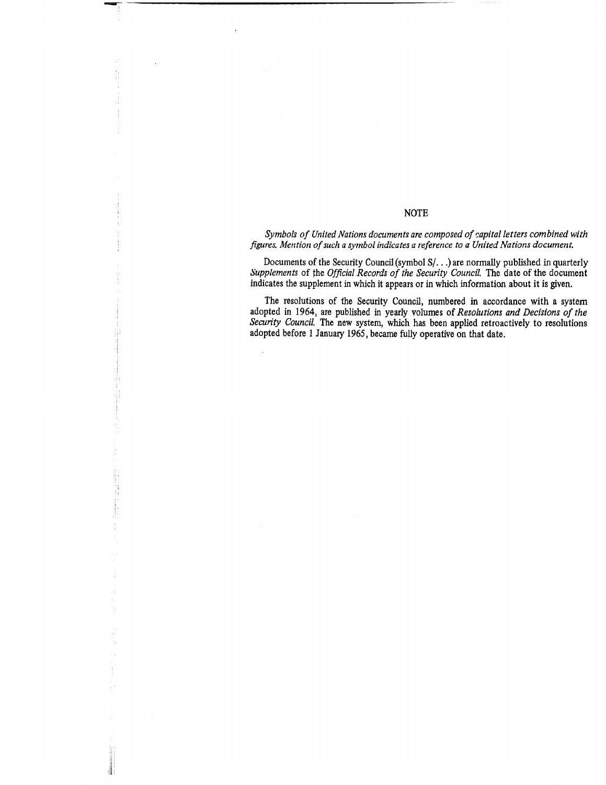### NOTE

Symbols of United Nations documents are composed of capital letters combined with figures. Mention of such a symbol indicates a reference to a United Nations document.

Documents of the Security Council (symbol S/. . .) are normally published in quarterly Supplements of the Official Records of the Security Council. The date of the document indicates the supplement in which it appears or in which information about it is given.

The resolutions of the Security Council, numbered in accordance with a system adopted in 1964, are published in yearly volumes of Resolutions and Decisions of the Security Council. The new system which has been applied retroactively to resolutions adopted before 1 January 1965, became fully operative on that date.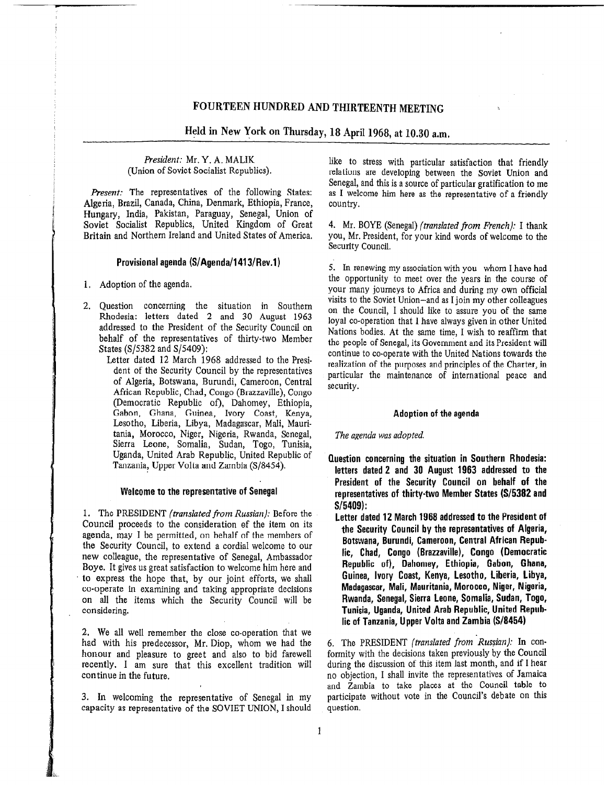Held in New York on Thursday, 18 April 1968, at 10.30 a.m.

President: Mr. Y. A. MALIK (Union of Soviet Socialist Republics).

Present: The representatives of the following States: Algeria, Brazil, Canada, China, Denmark, Ethiopia, France, Hungary, India, Pakistan, Paraguay, Senegal, Union of Soviet Socialist Republics, United Kingdom of Great Britain and Northern Ireland and United States of America.

## Provisional agenda (S/Agenda/1413/Rev.1)

- 1, Adoption of the agenda.
- 2. Question concerning the situation in Southern Rhodesia: letters dated 2 and 30 August 1963 addressed to the President of the Security Council on behalf of the representatives of thirty-two Member States (S/5382 and S/5409):

Letter dated 12 March 1968 addressed to the President of the Security Council by the representatives of Algeria, Botswana, Burundi, Cameroon, Central African Republic, Chad, Congo (Brazzaville), Congo (Democratic Republic of), Dahomey, Ethiopia, Gabon, Ghana, Guinea, Ivory Coast, Kenya, Lesotho, Liberia, Libya, Madagascar, Mali, Mauritania, Morocco, Niger, Nigeria, Rwanda, Senegal, Sierra Leone, Somalia, Sudan, Togo, Tunisia, Uganda, United Arab Republic, United Republic of Tanzania, Upper Volta and Zambia (S/8454).

### Welcome to the representative of Senegal

1. The PRESIDENT (translated from Russian): Before the Council proceeds to the consideration of the item on its agenda, may I be permitted, on behalf of the members of the Security Council, to extend a cordial welcome to our new colleague, the representative of Senegal, Ambassador Boye. It gives us great satisfaction to welcome him here and to express the hope that, by our joint efforts, we shall co-operate in examining and taking appropriate decisions on all the items which the Security Council will be considering.

2. We all well remember the close co-operation that we had with his predecessor, Mr. Diop, whom we had the honour and pleasure to greet and also to bid farewell recently. I am sure that this excellent tradition will continue in the future.

3. In welcoming the representative of Senegal in my capacity as representative of the SOVIET UNION, I should like to stress with particular satisfaction that friendly relations are developing between the Soviet Union and Senegal, and this is a source of particular gratification to me as I welcome him here as the representative of a friendly country.

4. Mr. BOYE (Senegal) (translated from French): I thank YOU, Mr. President, for your kind words of welcome to the Security Council,

5. In renewing my association with you-whom I have had the opportunity to meet over the years in the course of your many journeys to Africa and during my own official visits to the Soviet Union-and as I join my other colleagues on the Council, I should like to assure you of the same loyal co-operation that I have always given in other United Nations bodies. At the same time, I wish to reaffirm that the people of Senegal, its Government and its President will continue to co-operate with the United Nations towards the realization of the purposes and principles of the Charter, in particular the maintenance of international peace and security.

### Adoption of the agenda

The agenda was adopted.

- Question concerning the situation in Southern Rhodesia: letters dated 2 and 30 August 1963 addressed to the President of the Security Council on behalf of the representatives of thirty-two Member States (S/5382 and S/5409):
	- Letter dated 12 March 1968 addressed to the President of the Security Council by the representatives of Algeria, Botswana, Burundi, Cameroon, Central African Republic, Chad, Congo (Brazzaville), Congo (Democratic Republic of), Dahomey, Ethiopia, Gabon, Ghana, Guinea, Ivory Coast, Kenya, Lesotho, Liberia, Libya, Madagascar, Mali, Mauritania, Morocco, Niger, Nigeria, Rwanda, Senegal, Sierra Leone, Somalia, Sudan, Togo, Tunisia, Uganda, United Arab Republic, United Republic of Tanzania, Upper Volta and Zambia (S/8454)

6. The PRESIDENT (translated from Russian): In conformity with the decisions taken previously by the Council during the discussion of this item last month, and if I hear no objection, I shall invite the representatives of Jamaica and Zambia to take places at the Council table to participate without vote in the Council's debate on this question.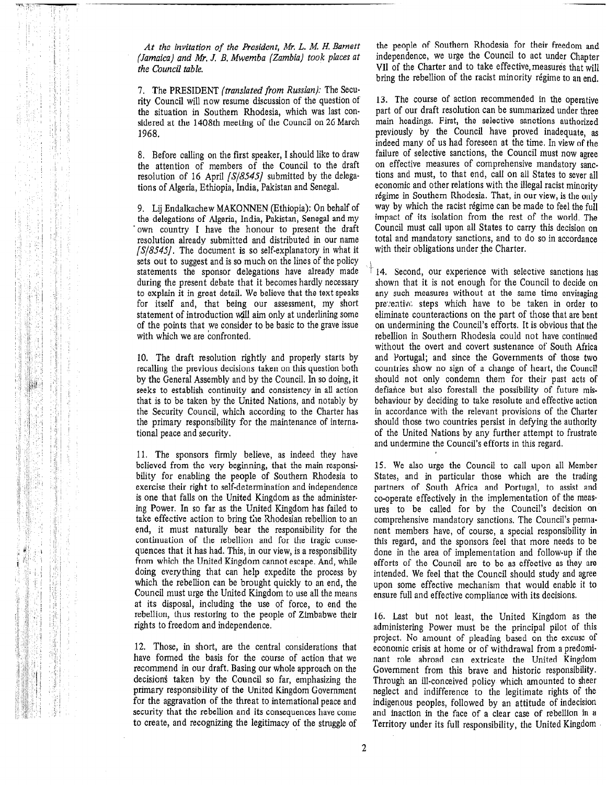At the invitation of the President, Mr. L. M. H. Bamett (Jamaica) and Mr. J. B. Mwemba (Zambia) took places at the Council table.

7. The PRESIDENT (translated from Russian): The Security Council will now resume discussion of the question of the situation in Southern Rhodesia, which was last considered at the 1408th meeting of the Council on 26 March 1968.

8. Before calling on the first speaker, I should like to draw the attention of members of the Council to the draft resolution of 16 April  $\sqrt{S/8545}$  submitted by the delegations of Algeria, Ethiopia, India, Pakistan and Senegal.

9. Lij Endalkachew MAKONNEN (Ethiopia): On behalf of the delegations of Algeria, India, Pakistan, Senegal and my . own country I have the honour to present the draft resolution already submitted and distributed in our name  $[S/8545]$ . The document is so self-explanatory in what it sets out to suggest and is so much on the lines of the policy statements the sponsor delegations have already made during the present debate that it becomes hardly necessary to explain it in great detail. We believe that the text speaks for itself and, that being our assessment, my short statement of introduction will aim only at underlining some of the points that we consider to be basic to the grave issue with which we are confronted.

10. The draft resolution rightly and properly starts by recalling the previous decisions taken on this question both by the General Assembly and by the Council. In so doing, it seeks to establish continuity and consistency in all action that is to be taken by the United Nations, and notably by the Security Council, which according to the Charter has the primary responsibility for the maintenance of international peace and security.

11. The sponsors firmly believe, as indeed they have believed from the very beginning, that the main responsibility for enabling the people of Southern Rhodesia to exercise their right to self-determination and independence is one that falls on the United Kingdom as the administering Power. In so far as the United Kingdom has failed to take effective action to bring the Rhodesian rebellion to an end, it must naturally bear the responsibility for the continuation of the rebellion and for the tragic consequences that it has had. This, in our view, is a responsibility from which the United Kingdom cannot escape, And, while none which the office Kniguoni cannot escape. And, while doing every thing that can help expedite the process by which the rebellion can be brought quickly to an end, the Council must urge the United Kingdom to use all the means at its disposal, including the use of force, to end the are to disposar, thus the theory of Torce, to the the rebellion, thus restoring to the people of Zimbabwe their rights to freedom and independence.

12. Those, in short, are the central considerations that  $\frac{12.1 \text{ m/s}}{2.1 \text{ m/s}}$  for the course of action that we considerate of a construction that we consider that we consider the set of a construction of a construction of  $\frac{1}{2}$  and  $\frac{1}{2}$  and  $\frac{1}{2}$  and  $\frac{1}{2}$ have formed the basis for the course of action that we recommend in our draft. Basing our whole approach on the decisions taken by the Council so far, emphasizing the primary responsibility of the United Kingdom Government for the aggravation of the threat to international peace and security that the rebellion and its consequences have come to create, and recognizing the legitimacy of the struggle of

the people of Southern Rhodesia for their freedom and independence, we urge the Council to act under Chapter VII of the Charter and to take effective measures that will bring the rebellion of the racist minority régime to an end.

13. The course of action recommended in the operative part of our draft resolution can be summarized under three main headings. First, the selective sanctions authorized previously by the Council have proved inadequate, as indeed many of us had foreseen at the time. In view of the failure of selective sanctions, the Council must now agree on effective measures of comprehensive mandatory sane. tions and must, to that end, call on all States to sever all economic and other relations with the illegal racist minority régime in Southern Rhodesia. That, in our view, is the only way by which the racist régime can be made to feel the full impact of its isolation from the rest of the world. The Council must call upon all States to carry this decision on total and mandatory sanctions, and to do so in accordance with their obligations under the Charter.

14. Second, our experience with selective sanctions has shown that it is not enough for the Council to decide on any such measures without at the same time envisaging pre':entivl: steps which have to be taken in order to eliminate counteractions on the part of those that are bent on undermining the Council's efforts. It is obvious that the rebellion in Southern Rhodesia could not have continued without the overt and covert sustenance of South Africa and Portugal; and since the Governments of those two countries show no sign of a change of heart, the Council should not only condemn them for their past acts of defiance but also forestall the possibility of future misbehaviour by deciding to take resolute and effective action in accordance with the relevant provisions of the Charter should those two countries persist in defying the authority of the United Nations by any further attempt to frustrate and undermine the Council's efforts in this regard.

15. We also urge the Council to call upon all Member States, and in particular those which are the trading partners of South Africa and Portugal, to assist and co-operate effectively in the implementation of the measures to be called for by the Council's decision on comprehensive mandatory sanctions. The Council's permanent members have, of course, a special responsibility in this regard, and the sponsors feel that more needs to be and regard, and the sponsors reer that more needs to be efforts of the Council and the as effective as they are intended. We feel that the Council should study and agree. mondou. He feel that the Council should study and agree upon some effective mechanism that would enable it to ensure full and effective compliance with its decisions.

16. Last but not least, the United Kingdom as the administering Power must be the principal pilot of the principal pilot of the pilot of the principal pilot of the principal pilot of the principal pilot of the principal pilot of the principal pilot of the principal pilot administering Power must be the principal pilot of this project. No amount of pleading based on the excuse of project, two amount or picauing based on the excuse of comme cases at home of or withdrawal from a predomnant role abroad can extricate the United Kingdom Government from this brave and historic responsibility. Through an ill-conceived policy which amounted to sheer neglect and indifference to the legitimate rights of the indigenous peoples, followed by an attitude of indecision and inaction in the face of a clear case of rebellion in a Territory under its full responsibility, the United Kingdom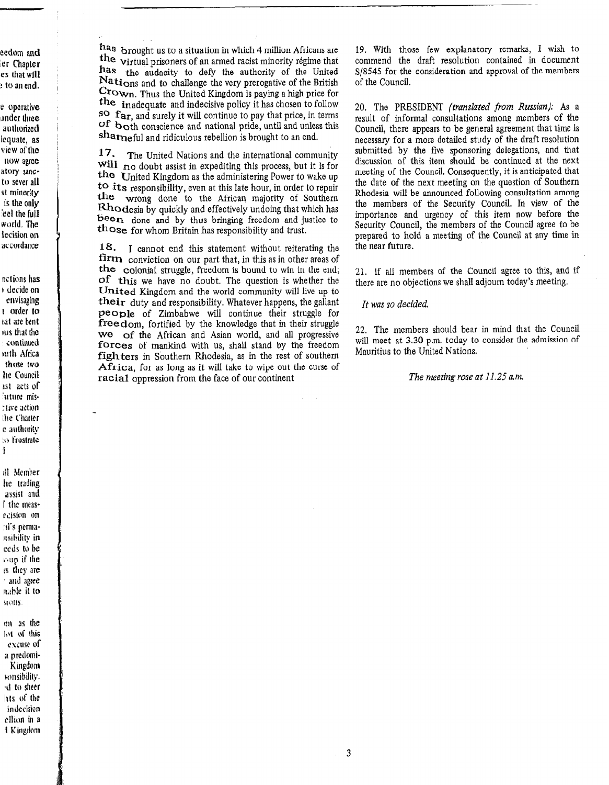has brought us to a situation in which 4 million Africans are the virtual prisoners of an armed racist minority régime that has the audacity to defy the authority of the United Nations and to challenge the very prerogative of the British Crown. Thus the United Kingdom is paying a high price for the inadequate and indecisive policy it has chosen to follow so far, and surely it will continue to pay that price, in terms Of both conscience and national pride, until and unless this sharneful and ridiculous rebellion is brought to an end.

17. The United Nations and the international community will no doubt assist in expediting this process, but it is for the United Kingdom as the administering Power to wake up to its responsibility, even at this late hour, in order to repair the wrong done to the African majority of Southern Rhodesia by quickly and effectively undoing that which has been done and by thus bringing freedom and justice to those for whom Britain has responsibility and trust.

18. I cannot end this statement without reiterating the firm conviction on our part that, in this as in other areas of the colonial struggle, freedom is bound to win in the end; of this we have no doubt, The question is whether the United Kingdom and the world community will live up to their duty and responsibility. Whatever happens, the gallant people of Zimbabwe will continue their struggle for freedom, fortified by the knowledge that in their struggle is computed by the Knowledge that in their struggle we of the Affican and Asian world, and an progressive forces of mankind with us, shall stand by the freedom fighters in Southern Rhodesia, as in the rest of southern Africa, for as long as it will take to wipe out the curse of racial oppression from the face of our continent

19. With those few explanatory remarks, I wish to commend the draft resolution contained in document S/8545 for the consideration and approval of the members of the Council.

20. The PRESIDENT (translated from Russian): As a result of informal consultations among members of the Council, there appears to be general agreement that time is necessary for a more detailed study of the draft resolution submitted by the five sponsoring delegations, and that discussion of this item should be continued at the next meeting of the Council. Consequently, it is anticipated that the date of the next meeting on the question of Southern Rhodesia will be announced following consultation among the members of the Security Council. In view of the importance and urgency of this item now before the Security Council, the members of the Council agree to be prepared to hold a meeting of the Council at any time in the near future.

21. If all members of the Council agree to this, and if there are no objections we shall adjourn today's meeting.

### It was so decided.

22. The members should bear in mind that the Council  $\mu$ . The members should be<br> $\mu$  at  $\mu$  and administration of a state of anders the administration of will meet at 3.30 p.m. today to consider the admission of Mauritius to the United Nations.

## The meeting rose at 11.25 a.m.